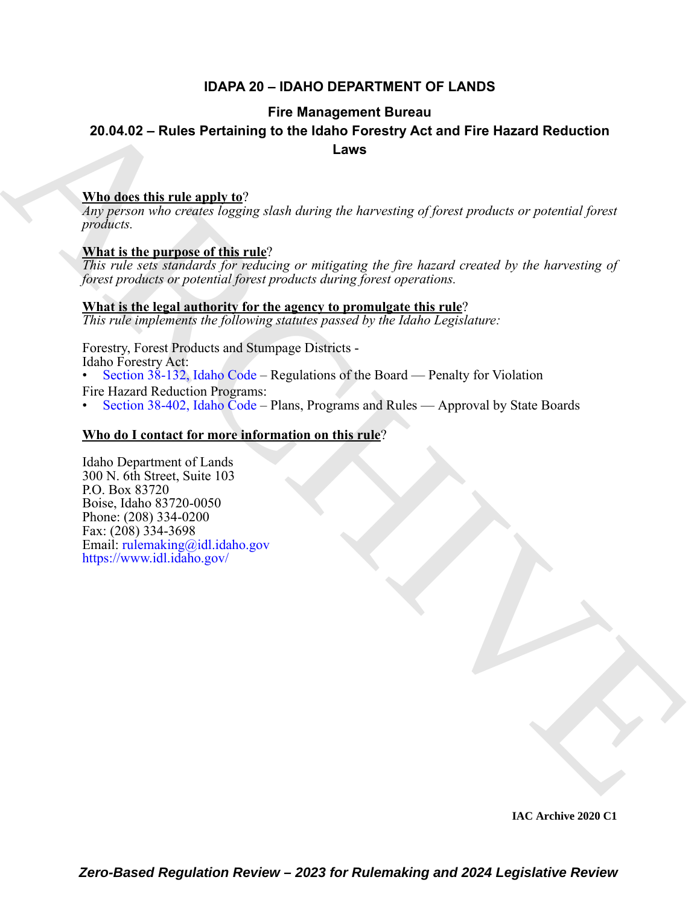### **IDAPA 20 – IDAHO DEPARTMENT OF LANDS**

### **Fire Management Bureau**

### **20.04.02 – Rules Pertaining to the Idaho Forestry Act and Fire Hazard Reduction Laws**

### **Who does this rule apply to**?

*Any person who creates logging slash during the harvesting of forest products or potential forest products.*

### **What is the purpose of this rule**?

*This rule sets standards for reducing or mitigating the fire hazard created by the harvesting of forest products or potential forest products during forest operations.*

### **What is the legal authority for the agency to promulgate this rule**?

*This rule implements the following statutes passed by the Idaho Legislature:*

Forestry, Forest Products and Stumpage Districts - Idaho Forestry Act: • Section 38-132, Idaho Code – Regulations of the Board — Penalty for Violation

Fire Hazard Reduction Programs:

• Section 38-402, Idaho Code – Plans, Programs and Rules — Approval by State Boards

### **Who do I contact for more information on this rule**?

Fire Manney are the transported by the distribution of the Hazard Reduction<br>  $\frac{\text{Whed}_{\text{other}}}{\text{mucleon}}$  and  $\frac{\text{tric}_{\text{other}}}{\text{mucleon}}$  and  $\frac{\text{tric}_{\text{other}}}{\text{mucleon}}$  and  $\frac{\text{tric}_{\text{other}}}{\text{mucleon}}$  and  $\frac{\text{tric}_{\text{other}}}{\text{mucleon}}$  and  $\frac{\$ Idaho Department of Lands 300 N. 6th Street, Suite 103 P.O. Box 83720 Boise, Idaho 83720-0050 Phone: (208) 334-0200 Fax: (208) 334-3698 Email: rulemaking@idl.idaho.gov https://www.idl.idaho.gov/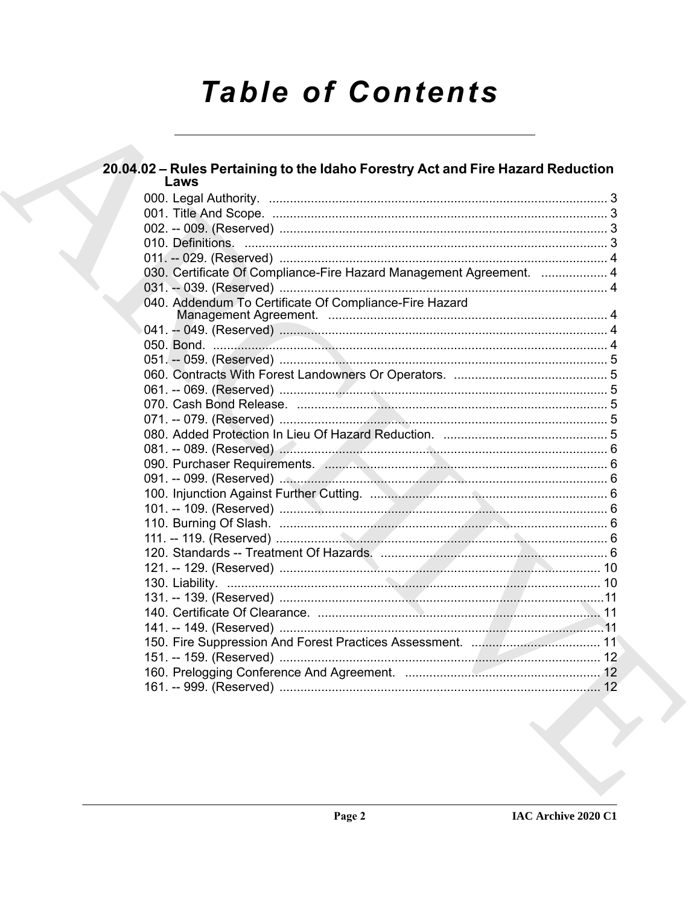# **Table of Contents**

| 20.04.02 - Rules Pertaining to the Idaho Forestry Act and Fire Hazard Reduction<br>Laws |  |
|-----------------------------------------------------------------------------------------|--|
|                                                                                         |  |
|                                                                                         |  |
|                                                                                         |  |
|                                                                                         |  |
|                                                                                         |  |
| 030. Certificate Of Compliance-Fire Hazard Management Agreement.  4                     |  |
|                                                                                         |  |
| 040. Addendum To Certificate Of Compliance-Fire Hazard                                  |  |
|                                                                                         |  |
|                                                                                         |  |
|                                                                                         |  |
|                                                                                         |  |
|                                                                                         |  |
|                                                                                         |  |
|                                                                                         |  |
|                                                                                         |  |
|                                                                                         |  |
|                                                                                         |  |
|                                                                                         |  |
|                                                                                         |  |
|                                                                                         |  |
|                                                                                         |  |
|                                                                                         |  |
|                                                                                         |  |
|                                                                                         |  |
|                                                                                         |  |
|                                                                                         |  |
|                                                                                         |  |
|                                                                                         |  |
|                                                                                         |  |
|                                                                                         |  |
|                                                                                         |  |
|                                                                                         |  |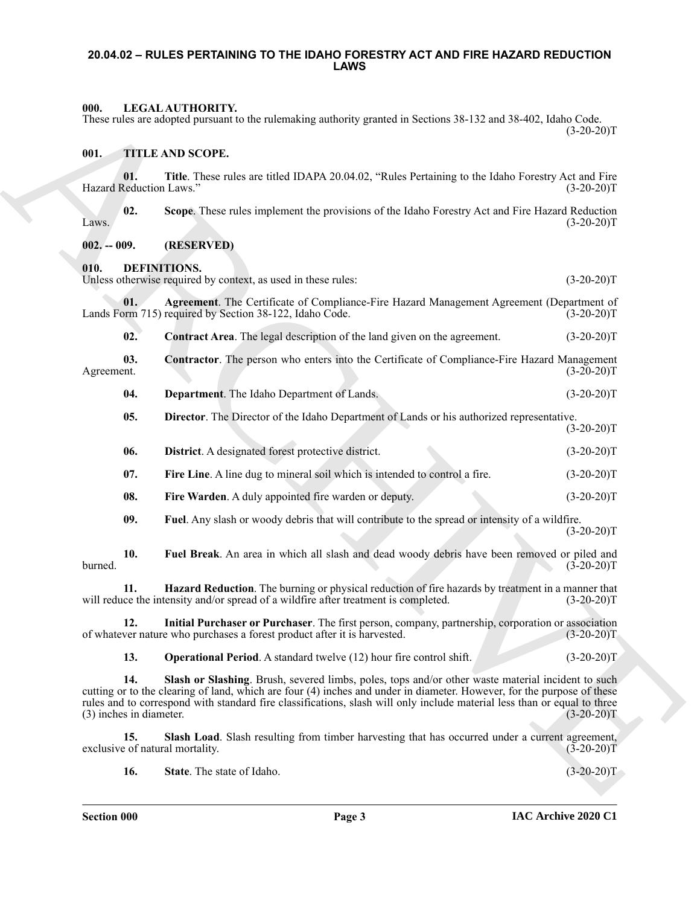### <span id="page-2-0"></span>**20.04.02 – RULES PERTAINING TO THE IDAHO FORESTRY ACT AND FIRE HAZARD REDUCTION LAWS**

### <span id="page-2-22"></span><span id="page-2-1"></span>**000. LEGAL AUTHORITY.**

These rules are adopted pursuant to the rulemaking authority granted in Sections 38-132 and 38-402, Idaho Code.  $(3-20-20)T$ 

### <span id="page-2-23"></span><span id="page-2-2"></span>**001. TITLE AND SCOPE.**

**01.** Title. These rules are titled IDAPA 20.04.02, "Rules Pertaining to the Idaho Forestry Act and Fire Reduction Laws." (3-20-20) Hazard Reduction Laws."

**02. Scope**. These rules implement the provisions of the Idaho Forestry Act and Fire Hazard Reduction Laws.  $(3-20-20)T$ 

### <span id="page-2-3"></span>**002. -- 009. (RESERVED)**

<span id="page-2-5"></span><span id="page-2-4"></span>**010. DEFINITIONS.**

Unless otherwise required by context, as used in these rules:  $(3-20-20)$ T

**01.** Agreement. The Certificate of Compliance-Fire Hazard Management Agreement (Department of orm 715) required by Section 38-122, Idaho Code. (3-20-20) Lands Form 715) required by Section 38-122, Idaho Code.

<span id="page-2-8"></span><span id="page-2-7"></span><span id="page-2-6"></span>**02.** Contract Area. The legal description of the land given on the agreement. (3-20-20)T

**03.** Contractor. The person who enters into the Certificate of Compliance-Fire Hazard Management (3-20-20)T Agreement. (3-20-20)T

<span id="page-2-9"></span>**04. Department**. The Idaho Department of Lands. (3-20-20)T

<span id="page-2-13"></span><span id="page-2-12"></span><span id="page-2-11"></span><span id="page-2-10"></span>**05. Director**. The Director of the Idaho Department of Lands or his authorized representative.

- Mus. LEGNA ANTIDONITY: The neutron is the column of the state of the state of the state of the state of the state of the state of the state of the state of the state of the state of the state of the state of the state of  $(3-20-20)T$ **06. District**. A designated forest protective district. (3-20-20)T **07.** Fire Line. A line dug to mineral soil which is intended to control a fire.  $(3-20-20)T$ **08.** Fire Warden. A duly appointed fire warden or deputy. (3-20-20)T
	- **09. Fuel**. Any slash or woody debris that will contribute to the spread or intensity of a wildfire.  $(3-20-20)T$

<span id="page-2-15"></span><span id="page-2-14"></span>**10. Fuel Break**. An area in which all slash and dead woody debris have been removed or piled and burned. (3-20-20)T

<span id="page-2-16"></span>**11. Hazard Reduction**. The burning or physical reduction of fire hazards by treatment in a manner that will reduce the intensity and/or spread of a wildfire after treatment is completed.  $(3-20-20)T$ 

**12.** Initial Purchaser or Purchaser. The first person, company, partnership, corporation or association ver nature who purchases a forest product after it is harvested. (3-20-20) of whatever nature who purchases a forest product after it is harvested.

<span id="page-2-20"></span><span id="page-2-18"></span><span id="page-2-17"></span>**13. Operational Period**. A standard twelve (12) hour fire control shift. (3-20-20)T

14. Slash or Slashing. Brush, severed limbs, poles, tops and/or other waste material incident to such cutting or to the clearing of land, which are four (4) inches and under in diameter. However, for the purpose of these rules and to correspond with standard fire classifications, slash will only include material less than or equal to three (3) inches in diameter.  $(3-20-20)T$ 

**15.** Slash Load. Slash resulting from timber harvesting that has occurred under a current agreement, e of natural mortality.  $(3-20-20)T$ exclusive of natural mortality.

<span id="page-2-21"></span><span id="page-2-19"></span>**16.** State. The state of Idaho. (3-20-20)T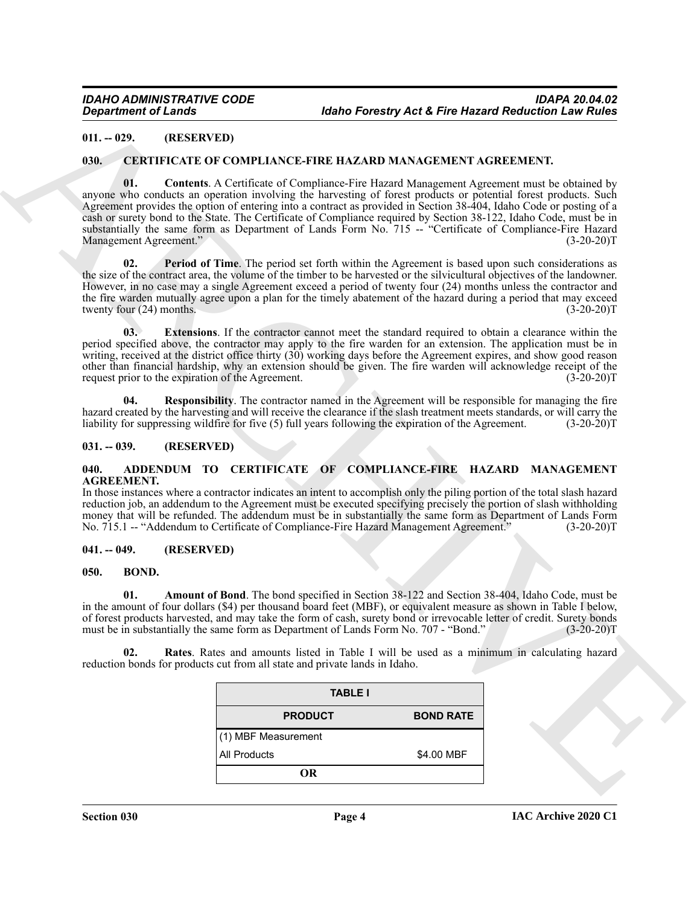### <span id="page-3-0"></span>**011. -- 029. (RESERVED)**

### <span id="page-3-11"></span><span id="page-3-10"></span><span id="page-3-1"></span>**030. CERTIFICATE OF COMPLIANCE-FIRE HAZARD MANAGEMENT AGREEMENT.**

**Equivariant of Lendary 14 and 14** and 14 and 14 and 14 and 14 and 14 and 14 and 14 and 14 and 14 and 14 and 14 and 14 and 14 and 14 and 14 and 14 and 14 and 14 and 14 and 14 and 14 and 14 and 14 and 14 and 14 and 14 and **01. Contents**. A Certificate of Compliance-Fire Hazard Management Agreement must be obtained by anyone who conducts an operation involving the harvesting of forest products or potential forest products. Such Agreement provides the option of entering into a contract as provided in Section 38-404, Idaho Code or posting of a cash or surety bond to the State. The Certificate of Compliance required by Section 38-122, Idaho Code, must be in substantially the same form as Department of Lands Form No. 715 -- "Certificate of Compliance-Fire Hazard Management Agreement." (3-20-20)T

<span id="page-3-13"></span>**02. Period of Time**. The period set forth within the Agreement is based upon such considerations as the size of the contract area, the volume of the timber to be harvested or the silvicultural objectives of the landowner. However, in no case may a single Agreement exceed a period of twenty four (24) months unless the contractor and the fire warden mutually agree upon a plan for the timely abatement of the hazard during a period that may exceed<br>twenty four (24) months. (3-20-20)T twenty four  $(24)$  months.

<span id="page-3-12"></span>**03. Extensions**. If the contractor cannot meet the standard required to obtain a clearance within the period specified above, the contractor may apply to the fire warden for an extension. The application must be in writing, received at the district office thirty (30) working days before the Agreement expires, and show good reason other than financial hardship, why an extension should be given. The fire warden will acknowledge receipt of the request prior to the expiration of the Agreement.

<span id="page-3-14"></span>**04. Responsibility**. The contractor named in the Agreement will be responsible for managing the fire hazard created by the harvesting and will receive the clearance if the slash treatment meets standards, or will carry the liability for suppressing wildfire for five (5) full vears following the expiration of the Agreement liability for suppressing wildfire for five  $(5)$  full years following the expiration of the Agreement.

### <span id="page-3-2"></span>**031. -- 039. (RESERVED)**

### <span id="page-3-6"></span><span id="page-3-3"></span>**040. ADDENDUM TO CERTIFICATE OF COMPLIANCE-FIRE HAZARD MANAGEMENT AGREEMENT.**

In those instances where a contractor indicates an intent to accomplish only the piling portion of the total slash hazard reduction job, an addendum to the Agreement must be executed specifying precisely the portion of slash withholding money that will be refunded. The addendum must be in substantially the same form as Department of Lands Form<br>No. 715.1 -- "Addendum to Certificate of Compliance-Fire Hazard Management Agreement." (3-20-20)T No. 715.1 -- "Addendum to Certificate of Compliance-Fire Hazard Management Agreement."

### <span id="page-3-4"></span>**041. -- 049. (RESERVED)**

### <span id="page-3-7"></span><span id="page-3-5"></span>**050. BOND.**

<span id="page-3-8"></span>**01. Amount of Bond**. The bond specified in Section 38-122 and Section 38-404, Idaho Code, must be in the amount of four dollars (\$4) per thousand board feet (MBF), or equivalent measure as shown in Table I below, of forest products harvested, and may take the form of cash, surety bond or irrevocable letter of credit. Surety bonds must be in substantially the same form as Department of Lands Form No. 707 - "Bond." (3-20-20)T must be in substantially the same form as Department of Lands Form No. 707 - "Bond."

**02. Rates**. Rates and amounts listed in Table I will be used as a minimum in calculating hazard reduction bonds for products cut from all state and private lands in Idaho.

<span id="page-3-9"></span>

| <b>TABLE I</b>      |                  |
|---------------------|------------------|
| <b>PRODUCT</b>      | <b>BOND RATE</b> |
| (1) MBF Measurement |                  |
| <b>All Products</b> | \$4.00 MBF       |
| OR                  |                  |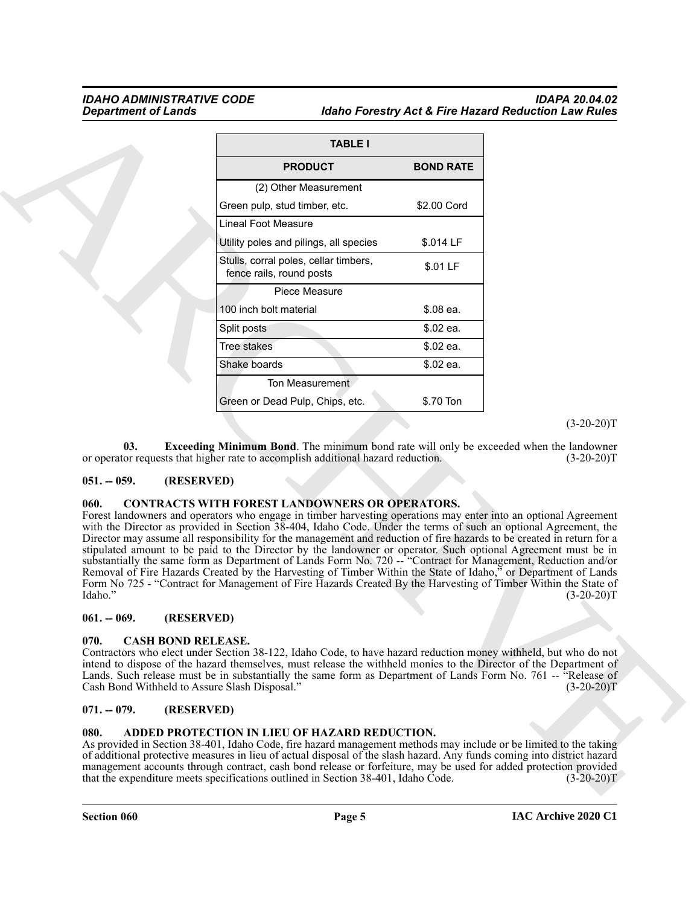### *IDAHO ADMINISTRATIVE CODE IDAPA 20.04.02 Idaho Forestry Act & Fire Hazard Reduction Law Rules*

|                                                                                    | <b>TABLE I</b>                                                                                                                                                                                                                                                                                                                                                                                                                                                                                                                                                                                                                                                                                                                                                                                                                                                                             |                                               |              |
|------------------------------------------------------------------------------------|--------------------------------------------------------------------------------------------------------------------------------------------------------------------------------------------------------------------------------------------------------------------------------------------------------------------------------------------------------------------------------------------------------------------------------------------------------------------------------------------------------------------------------------------------------------------------------------------------------------------------------------------------------------------------------------------------------------------------------------------------------------------------------------------------------------------------------------------------------------------------------------------|-----------------------------------------------|--------------|
|                                                                                    | <b>PRODUCT</b>                                                                                                                                                                                                                                                                                                                                                                                                                                                                                                                                                                                                                                                                                                                                                                                                                                                                             | <b>BOND RATE</b>                              |              |
|                                                                                    | (2) Other Measurement                                                                                                                                                                                                                                                                                                                                                                                                                                                                                                                                                                                                                                                                                                                                                                                                                                                                      |                                               |              |
|                                                                                    | Green pulp, stud timber, etc.                                                                                                                                                                                                                                                                                                                                                                                                                                                                                                                                                                                                                                                                                                                                                                                                                                                              | \$2.00 Cord                                   |              |
|                                                                                    | <b>Lineal Foot Measure</b>                                                                                                                                                                                                                                                                                                                                                                                                                                                                                                                                                                                                                                                                                                                                                                                                                                                                 |                                               |              |
|                                                                                    | Utility poles and pilings, all species                                                                                                                                                                                                                                                                                                                                                                                                                                                                                                                                                                                                                                                                                                                                                                                                                                                     | \$.014 LF                                     |              |
|                                                                                    | Stulls, corral poles, cellar timbers,<br>fence rails, round posts                                                                                                                                                                                                                                                                                                                                                                                                                                                                                                                                                                                                                                                                                                                                                                                                                          | \$.01 LF                                      |              |
|                                                                                    | Piece Measure                                                                                                                                                                                                                                                                                                                                                                                                                                                                                                                                                                                                                                                                                                                                                                                                                                                                              |                                               |              |
|                                                                                    | 100 inch bolt material                                                                                                                                                                                                                                                                                                                                                                                                                                                                                                                                                                                                                                                                                                                                                                                                                                                                     | \$.08 ea.                                     |              |
|                                                                                    | Split posts                                                                                                                                                                                                                                                                                                                                                                                                                                                                                                                                                                                                                                                                                                                                                                                                                                                                                | \$.02 ea.                                     |              |
|                                                                                    | Tree stakes                                                                                                                                                                                                                                                                                                                                                                                                                                                                                                                                                                                                                                                                                                                                                                                                                                                                                | \$.02 ea.                                     |              |
|                                                                                    | Shake boards                                                                                                                                                                                                                                                                                                                                                                                                                                                                                                                                                                                                                                                                                                                                                                                                                                                                               | \$.02 ea.                                     |              |
|                                                                                    | <b>Ton Measurement</b>                                                                                                                                                                                                                                                                                                                                                                                                                                                                                                                                                                                                                                                                                                                                                                                                                                                                     |                                               |              |
|                                                                                    | Green or Dead Pulp, Chips, etc.                                                                                                                                                                                                                                                                                                                                                                                                                                                                                                                                                                                                                                                                                                                                                                                                                                                            | \$.70 Ton                                     |              |
| $051. - 059.$<br>(RESERVED)<br>060.<br>Idaho."                                     | <b>CONTRACTS WITH FOREST LANDOWNERS OR OPERATORS.</b><br>Forest landowners and operators who engage in timber harvesting operations may enter into an optional Agreement<br>with the Director as provided in Section 38-404, Idaho Code. Under the terms of such an optional Agreement, the<br>Director may assume all responsibility for the management and reduction of fire hazards to be created in return for a<br>stipulated amount to be paid to the Director by the landowner or operator. Such optional Agreement must be in<br>substantially the same form as Department of Lands Form No. 720 -- "Contract for Management, Reduction and/or<br>Removal of Fire Hazards Created by the Harvesting of Timber Within the State of Idaho," or Department of Lands<br>Form No 725 - "Contract for Management of Fire Hazards Created By the Harvesting of Timber Within the State of |                                               | $(3-20-20)T$ |
| (RESERVED)<br>$061. - 069.$                                                        |                                                                                                                                                                                                                                                                                                                                                                                                                                                                                                                                                                                                                                                                                                                                                                                                                                                                                            |                                               |              |
| 070.<br><b>CASH BOND RELEASE.</b><br>Cash Bond Withheld to Assure Slash Disposal." | Contractors who elect under Section 38-122, Idaho Code, to have hazard reduction money withheld, but who do not<br>intend to dispose of the hazard themselves, must release the withheld monies to the Director of the Department of<br>Lands. Such release must be in substantially the same form as Department of Lands Form No. 761 -- "Release of                                                                                                                                                                                                                                                                                                                                                                                                                                                                                                                                      |                                               | $(3-20-20)T$ |
| $071. - 079.$<br>(RESERVED)                                                        |                                                                                                                                                                                                                                                                                                                                                                                                                                                                                                                                                                                                                                                                                                                                                                                                                                                                                            |                                               |              |
|                                                                                    |                                                                                                                                                                                                                                                                                                                                                                                                                                                                                                                                                                                                                                                                                                                                                                                                                                                                                            | ADDED PROTECTION IN LIEU OF HAZARD REDUCTION. |              |

### <span id="page-4-7"></span><span id="page-4-0"></span>**051. -- 059. (RESERVED)**

### <span id="page-4-9"></span><span id="page-4-1"></span>**060. CONTRACTS WITH FOREST LANDOWNERS OR OPERATORS.**

### <span id="page-4-2"></span>**061. -- 069. (RESERVED)**

### <span id="page-4-8"></span><span id="page-4-3"></span>**070. CASH BOND RELEASE.**

### <span id="page-4-4"></span>**071. -- 079. (RESERVED)**

### <span id="page-4-6"></span><span id="page-4-5"></span>**080. ADDED PROTECTION IN LIEU OF HAZARD REDUCTION.**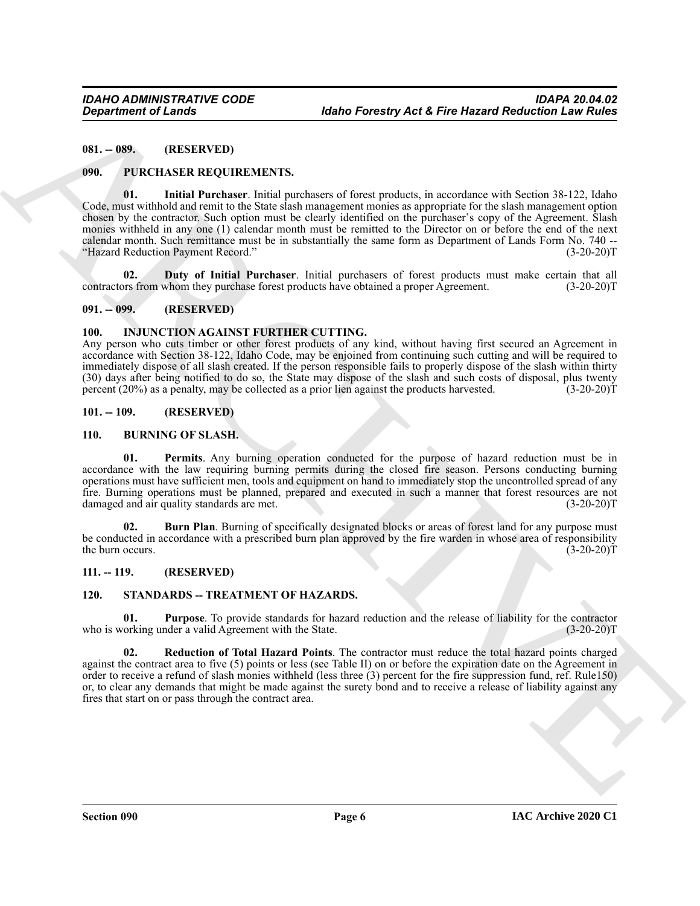<span id="page-5-0"></span>**081. -- 089. (RESERVED)**

### <span id="page-5-14"></span><span id="page-5-12"></span><span id="page-5-1"></span>**090. PURCHASER REQUIREMENTS.**

**Expansion of Lenda<br>
Mathe Forestry Act & Fire Herzord Reduction Law<br>
061.**<br>
061. **PURCHISSIR REQUIRENTS TS**<br>
(No. 1985) (NORTHER REQUIRENTS)<br>
(No. 1985) (No. 1985) (NORTHER PRODUCTION TO THE CONTROL INTERFERENCE CONTROL **01. Initial Purchaser**. Initial purchasers of forest products, in accordance with Section 38-122, Idaho Code, must withhold and remit to the State slash management monies as appropriate for the slash management option chosen by the contractor. Such option must be clearly identified on the purchaser's copy of the Agreement. Slash monies withheld in any one (1) calendar month must be remitted to the Director on or before the end of the next calendar month. Such remittance must be in substantially the same form as Department of Lands Form No. 740 --<br>"Hazard Reduction Payment Record." (3-20-20) "Hazard Reduction Payment Record."

<span id="page-5-13"></span>**02. Duty of Initial Purchaser**. Initial purchasers of forest products must make certain that all ors from whom they purchase forest products have obtained a proper Agreement. (3-20-20)<sup>T</sup> contractors from whom they purchase forest products have obtained a proper Agreement.

### <span id="page-5-2"></span>**091. -- 099. (RESERVED)**

### <span id="page-5-11"></span><span id="page-5-3"></span>**100. INJUNCTION AGAINST FURTHER CUTTING.**

Any person who cuts timber or other forest products of any kind, without having first secured an Agreement in accordance with Section 38-122, Idaho Code, may be enjoined from continuing such cutting and will be required to immediately dispose of all slash created. If the person responsible fails to properly dispose of the slash within thirty (30) days after being notified to do so, the State may dispose of the slash and such costs of disposal, plus twenty percent (20%) as a penalty, may be collected as a prior lien against the products harvested. (3-20-20)T percent  $(20%)$  as a penalty, may be collected as a prior lien against the products harvested.

### <span id="page-5-4"></span>**101. -- 109. (RESERVED)**

### <span id="page-5-10"></span><span id="page-5-8"></span><span id="page-5-5"></span>**110. BURNING OF SLASH.**

**01. Permits**. Any burning operation conducted for the purpose of hazard reduction must be in accordance with the law requiring burning permits during the closed fire season. Persons conducting burning operations must have sufficient men, tools and equipment on hand to immediately stop the uncontrolled spread of any fire. Burning operations must be planned, prepared and executed in such a manner that forest resources are not damaged and air quality standards are met. (3-20-20)T

<span id="page-5-9"></span>**02. Burn Plan**. Burning of specifically designated blocks or areas of forest land for any purpose must be conducted in accordance with a prescribed burn plan approved by the fire warden in whose area of responsibility the burn occurs. (3-20-20) the burn occurs.

### <span id="page-5-6"></span>**111. -- 119. (RESERVED)**

### <span id="page-5-16"></span><span id="page-5-15"></span><span id="page-5-7"></span>**120. STANDARDS -- TREATMENT OF HAZARDS.**

**01. Purpose**. To provide standards for hazard reduction and the release of liability for the contractor vorking under a valid Agreement with the State. (3-20-20) who is working under a valid Agreement with the State.

<span id="page-5-17"></span>**02. Reduction of Total Hazard Points**. The contractor must reduce the total hazard points charged against the contract area to five (5) points or less (see Table II) on or before the expiration date on the Agreement in order to receive a refund of slash monies withheld (less three (3) percent for the fire suppression fund, ref. Rule150) or, to clear any demands that might be made against the surety bond and to receive a release of liability against any fires that start on or pass through the contract area.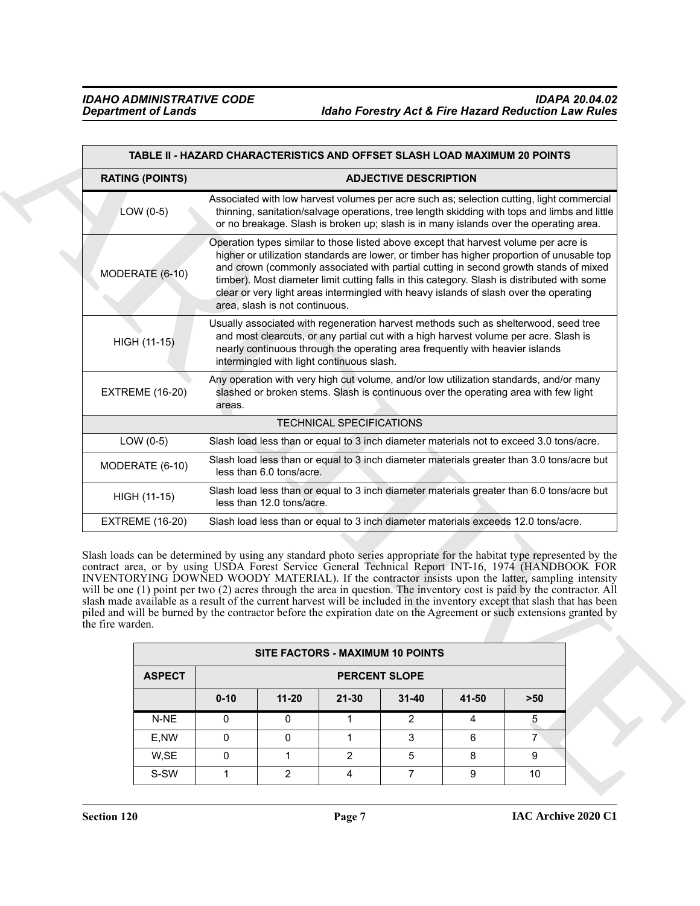<span id="page-6-0"></span>

|                  |                        |                                                                                                                                                                                                                                                                                                                                                                                                                                                                                                      |                                                                                                                                                                                                                                                                                                          |                                  |                              |       | TABLE II - HAZARD CHARACTERISTICS AND OFFSET SLASH LOAD MAXIMUM 20 POINTS                                                                                                                                                                                                                                                                                                                                                                                                                                                                                                                                                                                                                                        |  |
|------------------|------------------------|------------------------------------------------------------------------------------------------------------------------------------------------------------------------------------------------------------------------------------------------------------------------------------------------------------------------------------------------------------------------------------------------------------------------------------------------------------------------------------------------------|----------------------------------------------------------------------------------------------------------------------------------------------------------------------------------------------------------------------------------------------------------------------------------------------------------|----------------------------------|------------------------------|-------|------------------------------------------------------------------------------------------------------------------------------------------------------------------------------------------------------------------------------------------------------------------------------------------------------------------------------------------------------------------------------------------------------------------------------------------------------------------------------------------------------------------------------------------------------------------------------------------------------------------------------------------------------------------------------------------------------------------|--|
|                  | <b>RATING (POINTS)</b> |                                                                                                                                                                                                                                                                                                                                                                                                                                                                                                      |                                                                                                                                                                                                                                                                                                          |                                  | <b>ADJECTIVE DESCRIPTION</b> |       |                                                                                                                                                                                                                                                                                                                                                                                                                                                                                                                                                                                                                                                                                                                  |  |
|                  | LOW $(0-5)$            |                                                                                                                                                                                                                                                                                                                                                                                                                                                                                                      |                                                                                                                                                                                                                                                                                                          |                                  |                              |       | Associated with low harvest volumes per acre such as; selection cutting, light commercial<br>thinning, sanitation/salvage operations, tree length skidding with tops and limbs and little<br>or no breakage. Slash is broken up; slash is in many islands over the operating area.                                                                                                                                                                                                                                                                                                                                                                                                                               |  |
|                  | MODERATE (6-10)        | Operation types similar to those listed above except that harvest volume per acre is<br>higher or utilization standards are lower, or timber has higher proportion of unusable top<br>and crown (commonly associated with partial cutting in second growth stands of mixed<br>timber). Most diameter limit cutting falls in this category. Slash is distributed with some<br>clear or very light areas intermingled with heavy islands of slash over the operating<br>area, slash is not continuous. |                                                                                                                                                                                                                                                                                                          |                                  |                              |       |                                                                                                                                                                                                                                                                                                                                                                                                                                                                                                                                                                                                                                                                                                                  |  |
|                  | HIGH (11-15)           |                                                                                                                                                                                                                                                                                                                                                                                                                                                                                                      | Usually associated with regeneration harvest methods such as shelterwood, seed tree<br>and most clearcuts, or any partial cut with a high harvest volume per acre. Slash is<br>nearly continuous through the operating area frequently with heavier islands<br>intermingled with light continuous slash. |                                  |                              |       |                                                                                                                                                                                                                                                                                                                                                                                                                                                                                                                                                                                                                                                                                                                  |  |
|                  | <b>EXTREME (16-20)</b> | areas.                                                                                                                                                                                                                                                                                                                                                                                                                                                                                               |                                                                                                                                                                                                                                                                                                          |                                  |                              |       | Any operation with very high cut volume, and/or low utilization standards, and/or many<br>slashed or broken stems. Slash is continuous over the operating area with few light                                                                                                                                                                                                                                                                                                                                                                                                                                                                                                                                    |  |
|                  |                        |                                                                                                                                                                                                                                                                                                                                                                                                                                                                                                      |                                                                                                                                                                                                                                                                                                          | <b>TECHNICAL SPECIFICATIONS</b>  |                              |       |                                                                                                                                                                                                                                                                                                                                                                                                                                                                                                                                                                                                                                                                                                                  |  |
|                  | LOW $(0-5)$            |                                                                                                                                                                                                                                                                                                                                                                                                                                                                                                      |                                                                                                                                                                                                                                                                                                          |                                  |                              |       | Slash load less than or equal to 3 inch diameter materials not to exceed 3.0 tons/acre.                                                                                                                                                                                                                                                                                                                                                                                                                                                                                                                                                                                                                          |  |
|                  | MODERATE (6-10)        |                                                                                                                                                                                                                                                                                                                                                                                                                                                                                                      | less than 6.0 tons/acre.                                                                                                                                                                                                                                                                                 |                                  |                              |       | Slash load less than or equal to 3 inch diameter materials greater than 3.0 tons/acre but                                                                                                                                                                                                                                                                                                                                                                                                                                                                                                                                                                                                                        |  |
|                  | HIGH (11-15)           |                                                                                                                                                                                                                                                                                                                                                                                                                                                                                                      | less than 12.0 tons/acre.                                                                                                                                                                                                                                                                                |                                  |                              |       | Slash load less than or equal to 3 inch diameter materials greater than 6.0 tons/acre but                                                                                                                                                                                                                                                                                                                                                                                                                                                                                                                                                                                                                        |  |
|                  | <b>EXTREME (16-20)</b> |                                                                                                                                                                                                                                                                                                                                                                                                                                                                                                      |                                                                                                                                                                                                                                                                                                          |                                  |                              |       | Slash load less than or equal to 3 inch diameter materials exceeds 12.0 tons/acre.                                                                                                                                                                                                                                                                                                                                                                                                                                                                                                                                                                                                                               |  |
| the fire warden. |                        |                                                                                                                                                                                                                                                                                                                                                                                                                                                                                                      |                                                                                                                                                                                                                                                                                                          |                                  |                              |       | Slash loads can be determined by using any standard photo series appropriate for the habitat type represented by the<br>contract area, or by using USDA Forest Service General Technical Report INT-16, 1974 (HANDBOOK FOR<br>INVENTORYING DOWNED WOODY MATERIAL). If the contractor insists upon the latter, sampling intensity<br>will be one (1) point per two (2) acres through the area in question. The inventory cost is paid by the contractor. All<br>slash made available as a result of the current harvest will be included in the inventory except that slash that has been<br>piled and will be burned by the contractor before the expiration date on the Agreement or such extensions granted by |  |
|                  |                        |                                                                                                                                                                                                                                                                                                                                                                                                                                                                                                      |                                                                                                                                                                                                                                                                                                          | SITE FACTORS - MAXIMUM 10 POINTS |                              |       |                                                                                                                                                                                                                                                                                                                                                                                                                                                                                                                                                                                                                                                                                                                  |  |
|                  | <b>ASPECT</b>          |                                                                                                                                                                                                                                                                                                                                                                                                                                                                                                      |                                                                                                                                                                                                                                                                                                          |                                  | <b>PERCENT SLOPE</b>         |       |                                                                                                                                                                                                                                                                                                                                                                                                                                                                                                                                                                                                                                                                                                                  |  |
|                  |                        | $0 - 10$                                                                                                                                                                                                                                                                                                                                                                                                                                                                                             | $11 - 20$                                                                                                                                                                                                                                                                                                | $21 - 30$                        | $31 - 40$                    | 41-50 | $>50$                                                                                                                                                                                                                                                                                                                                                                                                                                                                                                                                                                                                                                                                                                            |  |
|                  |                        |                                                                                                                                                                                                                                                                                                                                                                                                                                                                                                      |                                                                                                                                                                                                                                                                                                          |                                  | $\overline{2}$               | 4     |                                                                                                                                                                                                                                                                                                                                                                                                                                                                                                                                                                                                                                                                                                                  |  |
|                  | N-NE                   | $\mathbf 0$                                                                                                                                                                                                                                                                                                                                                                                                                                                                                          | $\mathbf 0$                                                                                                                                                                                                                                                                                              | $\mathbf{1}$                     |                              |       | 5                                                                                                                                                                                                                                                                                                                                                                                                                                                                                                                                                                                                                                                                                                                |  |
|                  | E,NW                   | 0                                                                                                                                                                                                                                                                                                                                                                                                                                                                                                    | 0                                                                                                                                                                                                                                                                                                        | $\mathbf{1}$                     | 3<br>5 <sup>5</sup>          | 6     | $\overline{7}$                                                                                                                                                                                                                                                                                                                                                                                                                                                                                                                                                                                                                                                                                                   |  |

| <b>SITE FACTORS - MAXIMUM 10 POINTS</b> |          |                      |           |               |       |       |  |  |  |
|-----------------------------------------|----------|----------------------|-----------|---------------|-------|-------|--|--|--|
| <b>ASPECT</b>                           |          | <b>PERCENT SLOPE</b> |           |               |       |       |  |  |  |
|                                         | $0 - 10$ | $11 - 20$            | $21 - 30$ | $31 - 40$     | 41-50 | $>50$ |  |  |  |
| N-NE                                    |          |                      |           | $\mathcal{P}$ |       | 5     |  |  |  |
| E,NW                                    |          |                      |           |               | 6     |       |  |  |  |
| W,SE                                    |          |                      |           | 5             | 8     | 9     |  |  |  |
| S-SW                                    |          |                      |           |               | 9     | 10    |  |  |  |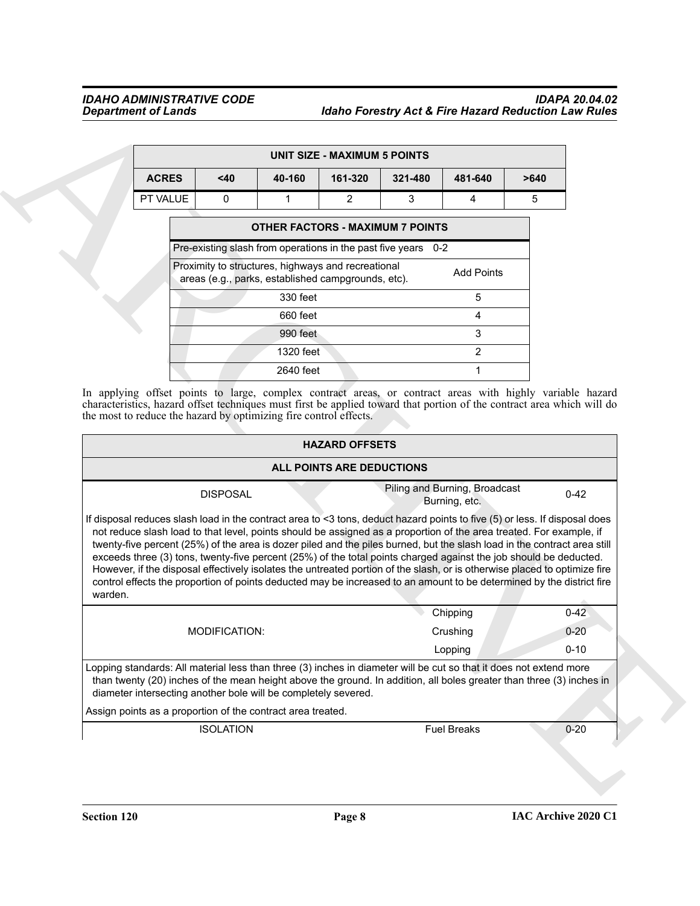### *IDAHO ADMINISTRATIVE CODE IDAPA 20.04.02 Department of Lands Idaho Forestry Act & Fire Hazard Reduction Law Rules*

| UNIT SIZE - MAXIMUM 5 POINTS |  |          |                                                                                                                                                                           |                |         |                   |      |  |  |  |
|------------------------------|--|----------|---------------------------------------------------------------------------------------------------------------------------------------------------------------------------|----------------|---------|-------------------|------|--|--|--|
| <b>ACRES</b>                 |  | $40$     | 40-160                                                                                                                                                                    | 161-320        | 321-480 | 481-640           | >640 |  |  |  |
| PT VALUE                     |  | $\Omega$ | 1                                                                                                                                                                         | $\overline{2}$ | 3       | 4                 | 5    |  |  |  |
|                              |  |          | <b>OTHER FACTORS - MAXIMUM 7 POINTS</b>                                                                                                                                   |                |         |                   |      |  |  |  |
|                              |  |          | Pre-existing slash from operations in the past five years 0-2<br>Proximity to structures, highways and recreational<br>areas (e.g., parks, established campgrounds, etc). |                |         | <b>Add Points</b> |      |  |  |  |
|                              |  |          | 330 feet                                                                                                                                                                  |                |         | 5                 |      |  |  |  |
|                              |  |          | 660 feet                                                                                                                                                                  |                |         | 4                 |      |  |  |  |
|                              |  |          | 990 feet                                                                                                                                                                  |                |         | 3                 |      |  |  |  |
|                              |  |          | 1320 feet                                                                                                                                                                 |                |         | $\mathfrak{p}$    |      |  |  |  |
|                              |  |          | 2640 feet                                                                                                                                                                 |                |         |                   |      |  |  |  |

|         |                                                                                                                                                                                                                                                                                                                                                                                                                                                                                                                                                                                                                                                                                                                                                          |                 |                                                                                                          | <b>UNIT SIZE - MAXIMUM 5 POINTS</b>                |         |                                                |      |          |
|---------|----------------------------------------------------------------------------------------------------------------------------------------------------------------------------------------------------------------------------------------------------------------------------------------------------------------------------------------------------------------------------------------------------------------------------------------------------------------------------------------------------------------------------------------------------------------------------------------------------------------------------------------------------------------------------------------------------------------------------------------------------------|-----------------|----------------------------------------------------------------------------------------------------------|----------------------------------------------------|---------|------------------------------------------------|------|----------|
|         | <b>ACRES</b>                                                                                                                                                                                                                                                                                                                                                                                                                                                                                                                                                                                                                                                                                                                                             | <40             | 40-160                                                                                                   | 161-320                                            | 321-480 | 481-640                                        | >640 |          |
|         | PT VALUE                                                                                                                                                                                                                                                                                                                                                                                                                                                                                                                                                                                                                                                                                                                                                 | 0               | $\mathbf{1}$                                                                                             | $\overline{2}$                                     | 3       | 4                                              | 5    |          |
|         | <b>OTHER FACTORS - MAXIMUM 7 POINTS</b>                                                                                                                                                                                                                                                                                                                                                                                                                                                                                                                                                                                                                                                                                                                  |                 |                                                                                                          |                                                    |         |                                                |      |          |
|         | Pre-existing slash from operations in the past five years 0-2                                                                                                                                                                                                                                                                                                                                                                                                                                                                                                                                                                                                                                                                                            |                 |                                                                                                          |                                                    |         |                                                |      |          |
|         |                                                                                                                                                                                                                                                                                                                                                                                                                                                                                                                                                                                                                                                                                                                                                          |                 | Proximity to structures, highways and recreational<br>areas (e.g., parks, established campgrounds, etc). |                                                    |         | <b>Add Points</b>                              |      |          |
|         |                                                                                                                                                                                                                                                                                                                                                                                                                                                                                                                                                                                                                                                                                                                                                          |                 | 330 feet                                                                                                 |                                                    |         | 5                                              |      |          |
|         |                                                                                                                                                                                                                                                                                                                                                                                                                                                                                                                                                                                                                                                                                                                                                          |                 | 660 feet                                                                                                 |                                                    |         | 4                                              |      |          |
|         |                                                                                                                                                                                                                                                                                                                                                                                                                                                                                                                                                                                                                                                                                                                                                          |                 | 990 feet                                                                                                 |                                                    |         | 3                                              |      |          |
|         |                                                                                                                                                                                                                                                                                                                                                                                                                                                                                                                                                                                                                                                                                                                                                          |                 | 1320 feet                                                                                                |                                                    |         | $\overline{2}$                                 |      |          |
|         |                                                                                                                                                                                                                                                                                                                                                                                                                                                                                                                                                                                                                                                                                                                                                          |                 | 2640 feet                                                                                                |                                                    |         | $\mathbf{1}$                                   |      |          |
|         | In applying offset points to large, complex contract areas, or contract areas with highly variable hazard<br>characteristics, hazard offset techniques must first be applied toward that portion of the contract area which will do<br>the most to reduce the hazard by optimizing fire control effects.                                                                                                                                                                                                                                                                                                                                                                                                                                                 |                 |                                                                                                          | <b>HAZARD OFFSETS</b><br>ALL POINTS ARE DEDUCTIONS |         |                                                |      |          |
|         |                                                                                                                                                                                                                                                                                                                                                                                                                                                                                                                                                                                                                                                                                                                                                          | <b>DISPOSAL</b> |                                                                                                          |                                                    |         | Piling and Burning, Broadcast<br>Burning, etc. |      | $0 - 42$ |
| warden. | If disposal reduces slash load in the contract area to <3 tons, deduct hazard points to five (5) or less. If disposal does<br>not reduce slash load to that level, points should be assigned as a proportion of the area treated. For example, if<br>twenty-five percent (25%) of the area is dozer piled and the piles burned, but the slash load in the contract area still<br>exceeds three (3) tons, twenty-five percent (25%) of the total points charged against the job should be deducted.<br>However, if the disposal effectively isolates the untreated portion of the slash, or is otherwise placed to optimize fire<br>control effects the proportion of points deducted may be increased to an amount to be determined by the district fire |                 |                                                                                                          |                                                    |         |                                                |      |          |
|         |                                                                                                                                                                                                                                                                                                                                                                                                                                                                                                                                                                                                                                                                                                                                                          |                 |                                                                                                          |                                                    |         | Chipping                                       |      | $0 - 42$ |
|         |                                                                                                                                                                                                                                                                                                                                                                                                                                                                                                                                                                                                                                                                                                                                                          | MODIFICATION:   |                                                                                                          |                                                    |         | Crushing                                       |      | $0 - 20$ |
|         |                                                                                                                                                                                                                                                                                                                                                                                                                                                                                                                                                                                                                                                                                                                                                          |                 |                                                                                                          |                                                    |         | Lopping                                        |      | $0 - 10$ |
|         | Lopping standards: All material less than three (3) inches in diameter will be cut so that it does not extend more<br>than twenty (20) inches of the mean height above the ground. In addition, all boles greater than three (3) inches in<br>diameter intersecting another bole will be completely severed.                                                                                                                                                                                                                                                                                                                                                                                                                                             |                 |                                                                                                          |                                                    |         |                                                |      |          |
|         | Assign points as a proportion of the contract area treated.                                                                                                                                                                                                                                                                                                                                                                                                                                                                                                                                                                                                                                                                                              |                 |                                                                                                          |                                                    |         |                                                |      |          |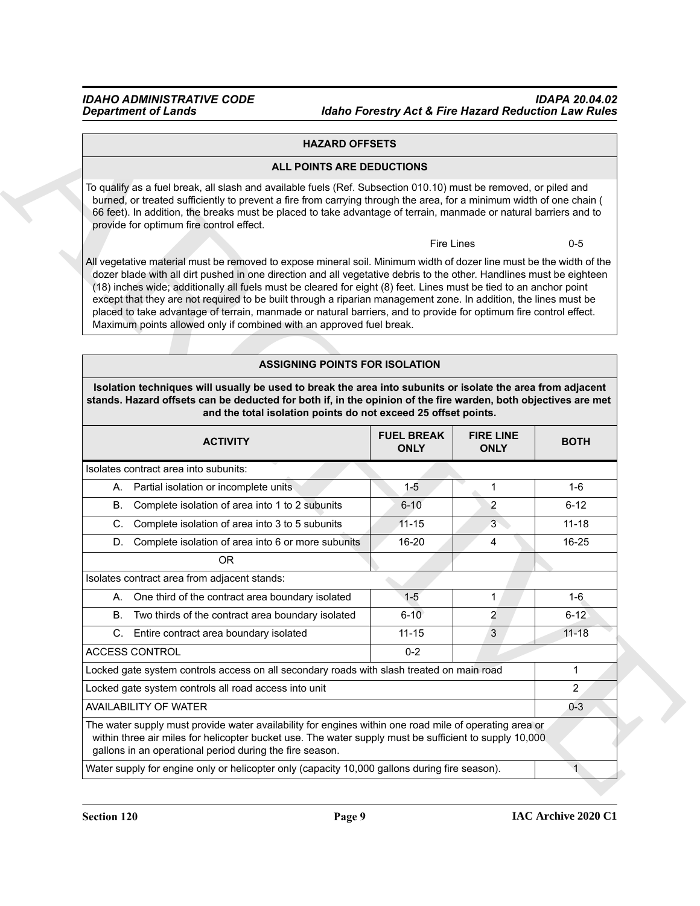### **HAZARD OFFSETS**

### **ALL POINTS ARE DEDUCTIONS**

### **ASSIGNING POINTS FOR ISOLATION**

| <b>HAZARD OFFSETS</b>                                                                                                                                                                                                                                                                                                                                                                                                                                                                                                                                                                                                                                                               |                                  |                                 |              |
|-------------------------------------------------------------------------------------------------------------------------------------------------------------------------------------------------------------------------------------------------------------------------------------------------------------------------------------------------------------------------------------------------------------------------------------------------------------------------------------------------------------------------------------------------------------------------------------------------------------------------------------------------------------------------------------|----------------------------------|---------------------------------|--------------|
| ALL POINTS ARE DEDUCTIONS                                                                                                                                                                                                                                                                                                                                                                                                                                                                                                                                                                                                                                                           |                                  |                                 |              |
| To qualify as a fuel break, all slash and available fuels (Ref. Subsection 010.10) must be removed, or piled and<br>burned, or treated sufficiently to prevent a fire from carrying through the area, for a minimum width of one chain (<br>66 feet). In addition, the breaks must be placed to take advantage of terrain, manmade or natural barriers and to<br>provide for optimum fire control effect.                                                                                                                                                                                                                                                                           |                                  |                                 |              |
|                                                                                                                                                                                                                                                                                                                                                                                                                                                                                                                                                                                                                                                                                     | Fire Lines                       |                                 | $0-5$        |
| All vegetative material must be removed to expose mineral soil. Minimum width of dozer line must be the width of the<br>dozer blade with all dirt pushed in one direction and all vegetative debris to the other. Handlines must be eighteen<br>(18) inches wide; additionally all fuels must be cleared for eight (8) feet. Lines must be tied to an anchor point<br>except that they are not required to be built through a riparian management zone. In addition, the lines must be<br>placed to take advantage of terrain, manmade or natural barriers, and to provide for optimum fire control effect.<br>Maximum points allowed only if combined with an approved fuel break. |                                  |                                 |              |
|                                                                                                                                                                                                                                                                                                                                                                                                                                                                                                                                                                                                                                                                                     |                                  |                                 |              |
| <b>ASSIGNING POINTS FOR ISOLATION</b>                                                                                                                                                                                                                                                                                                                                                                                                                                                                                                                                                                                                                                               |                                  |                                 |              |
| Isolation techniques will usually be used to break the area into subunits or isolate the area from adjacent<br>stands. Hazard offsets can be deducted for both if, in the opinion of the fire warden, both objectives are met<br>and the total isolation points do not exceed 25 offset points.                                                                                                                                                                                                                                                                                                                                                                                     |                                  |                                 |              |
| <b>ACTIVITY</b>                                                                                                                                                                                                                                                                                                                                                                                                                                                                                                                                                                                                                                                                     | <b>FUEL BREAK</b><br><b>ONLY</b> | <b>FIRE LINE</b><br><b>ONLY</b> | <b>BOTH</b>  |
| Isolates contract area into subunits:                                                                                                                                                                                                                                                                                                                                                                                                                                                                                                                                                                                                                                               |                                  |                                 |              |
| A. Partial isolation or incomplete units                                                                                                                                                                                                                                                                                                                                                                                                                                                                                                                                                                                                                                            | $1 - 5$                          | $\mathbf{1}$                    | $1-6$        |
| Complete isolation of area into 1 to 2 subunits<br>В.                                                                                                                                                                                                                                                                                                                                                                                                                                                                                                                                                                                                                               | $6 - 10$                         | $\overline{2}$                  | $6 - 12$     |
| Complete isolation of area into 3 to 5 subunits<br>C.                                                                                                                                                                                                                                                                                                                                                                                                                                                                                                                                                                                                                               | $11 - 15$                        | 3                               | $11 - 18$    |
| D. Complete isolation of area into 6 or more subunits                                                                                                                                                                                                                                                                                                                                                                                                                                                                                                                                                                                                                               | 16-20                            | 4                               | 16-25        |
| <b>OR</b>                                                                                                                                                                                                                                                                                                                                                                                                                                                                                                                                                                                                                                                                           |                                  |                                 |              |
| Isolates contract area from adjacent stands:                                                                                                                                                                                                                                                                                                                                                                                                                                                                                                                                                                                                                                        |                                  |                                 |              |
|                                                                                                                                                                                                                                                                                                                                                                                                                                                                                                                                                                                                                                                                                     | $1-5$                            | 1                               | $1 - 6$      |
| A. One third of the contract area boundary isolated                                                                                                                                                                                                                                                                                                                                                                                                                                                                                                                                                                                                                                 | $6 - 10$                         | $\mathcal{P}$                   | $6 - 12$     |
| B.<br>Two thirds of the contract area boundary isolated                                                                                                                                                                                                                                                                                                                                                                                                                                                                                                                                                                                                                             |                                  | 3                               | $11 - 18$    |
| C. Entire contract area boundary isolated                                                                                                                                                                                                                                                                                                                                                                                                                                                                                                                                                                                                                                           | $11 - 15$                        |                                 |              |
| ACCESS CONTROL                                                                                                                                                                                                                                                                                                                                                                                                                                                                                                                                                                                                                                                                      | $0 - 2$                          |                                 |              |
| Locked gate system controls access on all secondary roads with slash treated on main road                                                                                                                                                                                                                                                                                                                                                                                                                                                                                                                                                                                           |                                  |                                 | $\mathbf{1}$ |
| Locked gate system controls all road access into unit                                                                                                                                                                                                                                                                                                                                                                                                                                                                                                                                                                                                                               |                                  |                                 | $\mathbf{2}$ |
| <b>AVAILABILITY OF WATER</b>                                                                                                                                                                                                                                                                                                                                                                                                                                                                                                                                                                                                                                                        |                                  |                                 | $0 - 3$      |
| The water supply must provide water availability for engines within one road mile of operating area or<br>within three air miles for helicopter bucket use. The water supply must be sufficient to supply 10,000<br>gallons in an operational period during the fire season.                                                                                                                                                                                                                                                                                                                                                                                                        |                                  |                                 |              |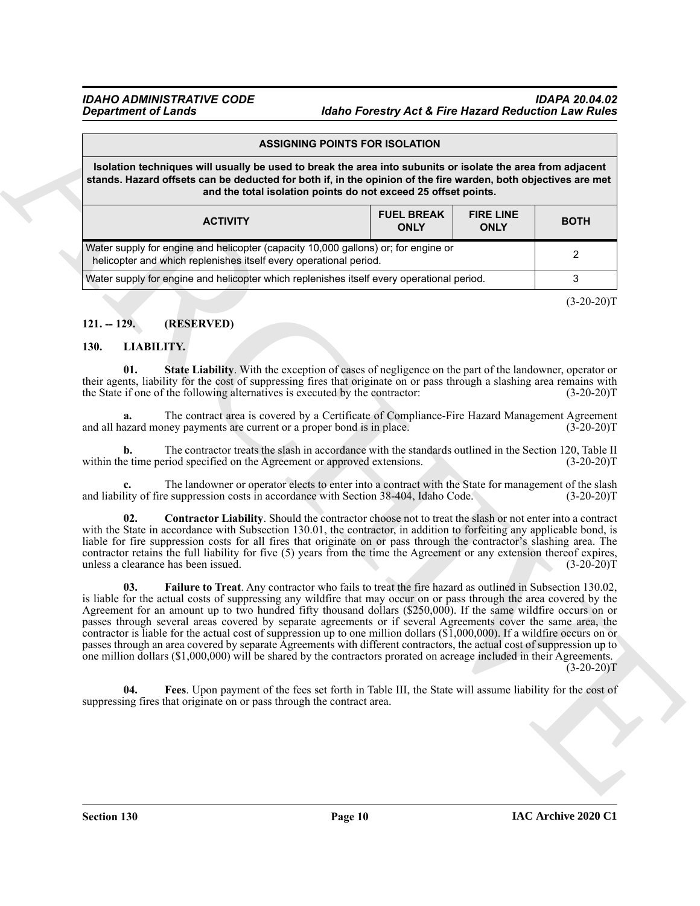### *IDAHO ADMINISTRATIVE CODE IDAPA 20.04.02 Idaho Forestry Act & Fire Hazard Reduction Law Rules*

|                                            |                                                                                                                                                                                                                                                                                                                                                                                                                                                                                                                                                                                                                                                                                                                                                                                                                                                                 | <b>ASSIGNING POINTS FOR ISOLATION</b> |                                  |                                 |              |
|--------------------------------------------|-----------------------------------------------------------------------------------------------------------------------------------------------------------------------------------------------------------------------------------------------------------------------------------------------------------------------------------------------------------------------------------------------------------------------------------------------------------------------------------------------------------------------------------------------------------------------------------------------------------------------------------------------------------------------------------------------------------------------------------------------------------------------------------------------------------------------------------------------------------------|---------------------------------------|----------------------------------|---------------------------------|--------------|
|                                            | Isolation techniques will usually be used to break the area into subunits or isolate the area from adjacent<br>stands. Hazard offsets can be deducted for both if, in the opinion of the fire warden, both objectives are met<br>and the total isolation points do not exceed 25 offset points.                                                                                                                                                                                                                                                                                                                                                                                                                                                                                                                                                                 |                                       |                                  |                                 |              |
|                                            | <b>ACTIVITY</b>                                                                                                                                                                                                                                                                                                                                                                                                                                                                                                                                                                                                                                                                                                                                                                                                                                                 |                                       | <b>FUEL BREAK</b><br><b>ONLY</b> | <b>FIRE LINE</b><br><b>ONLY</b> | <b>BOTH</b>  |
|                                            | Water supply for engine and helicopter (capacity 10,000 gallons) or; for engine or<br>helicopter and which replenishes itself every operational period.                                                                                                                                                                                                                                                                                                                                                                                                                                                                                                                                                                                                                                                                                                         |                                       |                                  |                                 | 2            |
|                                            | Water supply for engine and helicopter which replenishes itself every operational period.                                                                                                                                                                                                                                                                                                                                                                                                                                                                                                                                                                                                                                                                                                                                                                       |                                       |                                  |                                 | 3            |
|                                            |                                                                                                                                                                                                                                                                                                                                                                                                                                                                                                                                                                                                                                                                                                                                                                                                                                                                 |                                       |                                  |                                 | $(3-20-20)T$ |
| $121. - 129.$                              | (RESERVED)                                                                                                                                                                                                                                                                                                                                                                                                                                                                                                                                                                                                                                                                                                                                                                                                                                                      |                                       |                                  |                                 |              |
| <b>LIABILITY.</b><br>130.                  |                                                                                                                                                                                                                                                                                                                                                                                                                                                                                                                                                                                                                                                                                                                                                                                                                                                                 |                                       |                                  |                                 |              |
| 01.                                        | State Liability. With the exception of cases of negligence on the part of the landowner, operator or<br>their agents, liability for the cost of suppressing fires that originate on or pass through a slashing area remains with<br>the State if one of the following alternatives is executed by the contractor:                                                                                                                                                                                                                                                                                                                                                                                                                                                                                                                                               |                                       |                                  |                                 | $(3-20-20)T$ |
| a.                                         | The contract area is covered by a Certificate of Compliance-Fire Hazard Management Agreement<br>and all hazard money payments are current or a proper bond is in place.                                                                                                                                                                                                                                                                                                                                                                                                                                                                                                                                                                                                                                                                                         |                                       |                                  |                                 | $(3-20-20)T$ |
| b.                                         | The contractor treats the slash in accordance with the standards outlined in the Section 120, Table II<br>within the time period specified on the Agreement or approved extensions.                                                                                                                                                                                                                                                                                                                                                                                                                                                                                                                                                                                                                                                                             |                                       |                                  |                                 | $(3-20-20)T$ |
|                                            | The landowner or operator elects to enter into a contract with the State for management of the slash<br>and liability of fire suppression costs in accordance with Section 38-404, Idaho Code.                                                                                                                                                                                                                                                                                                                                                                                                                                                                                                                                                                                                                                                                  |                                       |                                  |                                 | $(3-20-20)T$ |
| 02.<br>unless a clearance has been issued. | Contractor Liability. Should the contractor choose not to treat the slash or not enter into a contract<br>with the State in accordance with Subsection 130.01, the contractor, in addition to forfeiting any applicable bond, is<br>liable for fire suppression costs for all fires that originate on or pass through the contractor's slashing area. The<br>contractor retains the full liability for five (5) years from the time the Agreement or any extension thereof expires,                                                                                                                                                                                                                                                                                                                                                                             |                                       |                                  |                                 | $(3-20-20)T$ |
| 03.                                        | Failure to Treat. Any contractor who fails to treat the fire hazard as outlined in Subsection 130.02,<br>is liable for the actual costs of suppressing any wildfire that may occur on or pass through the area covered by the<br>Agreement for an amount up to two hundred fifty thousand dollars (\$250,000). If the same wildfire occurs on or<br>passes through several areas covered by separate agreements or if several Agreements cover the same area, the<br>contractor is liable for the actual cost of suppression up to one million dollars $(\overline{1},000,000)$ . If a wildfire occurs on or<br>passes through an area covered by separate Agreements with different contractors, the actual cost of suppression up to<br>one million dollars (\$1,000,000) will be shared by the contractors prorated on acreage included in their Agreements. |                                       |                                  |                                 | $(3-20-20)T$ |
| 04.                                        | Fees. Upon payment of the fees set forth in Table III, the State will assume liability for the cost of<br>suppressing fires that originate on or pass through the contract area.                                                                                                                                                                                                                                                                                                                                                                                                                                                                                                                                                                                                                                                                                |                                       |                                  |                                 |              |
|                                            |                                                                                                                                                                                                                                                                                                                                                                                                                                                                                                                                                                                                                                                                                                                                                                                                                                                                 |                                       |                                  |                                 |              |
|                                            |                                                                                                                                                                                                                                                                                                                                                                                                                                                                                                                                                                                                                                                                                                                                                                                                                                                                 |                                       |                                  |                                 |              |

### <span id="page-9-0"></span>**121. -- 129. (RESERVED)**

### <span id="page-9-6"></span><span id="page-9-5"></span><span id="page-9-4"></span><span id="page-9-3"></span><span id="page-9-2"></span><span id="page-9-1"></span>**130. LIABILITY.**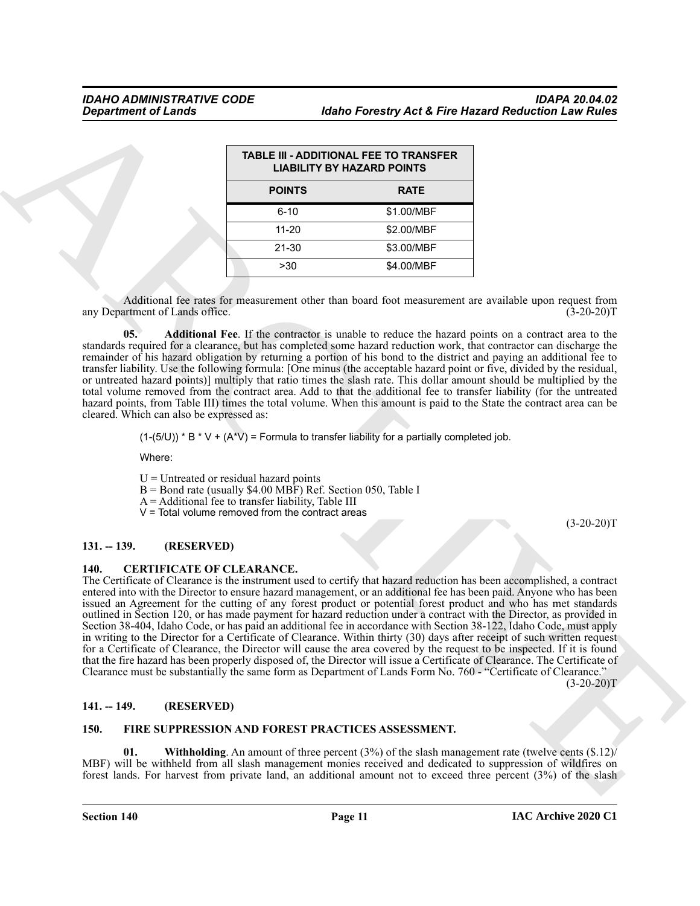| <b>TABLE III - ADDITIONAL FEE TO TRANSFER</b><br><b>LIABILITY BY HAZARD POINTS</b> |             |  |  |  |  |
|------------------------------------------------------------------------------------|-------------|--|--|--|--|
| <b>POINTS</b>                                                                      | <b>RATE</b> |  |  |  |  |
| $6 - 10$                                                                           | \$1.00/MBF  |  |  |  |  |
| 11-20                                                                              | \$2.00/MBF  |  |  |  |  |
| 21-30                                                                              | \$3.00/MBF  |  |  |  |  |
| >30                                                                                | \$4.00/MBF  |  |  |  |  |

Additional fee rates for measurement other than board foot measurement are available upon request from artment of Lands office. (3-20-20) any Department of Lands office.

<span id="page-10-7"></span>**05. Additional Fee**. If the contractor is unable to reduce the hazard points on a contract area to the standards required for a clearance, but has completed some hazard reduction work, that contractor can discharge the remainder of his hazard obligation by returning a portion of his bond to the district and paying an additional fee to transfer liability. Use the following formula: [One minus (the acceptable hazard point or five, divided by the residual, or untreated hazard points)] multiply that ratio times the slash rate. This dollar amount should be multiplied by the total volume removed from the contract area. Add to that the additional fee to transfer liability (for the untreated hazard points, from Table III) times the total volume. When this amount is paid to the State the contract area can be cleared. Which can also be expressed as:

 $(1-(5/U))^* B^* V + (A^*V) =$  Formula to transfer liability for a partially completed job.

Where:

 $U =$  Untreated or residual hazard points

- B = Bond rate (usually \$4.00 MBF) Ref. Section 050, Table I
- $A =$  Additional fee to transfer liability, Table III
- V = Total volume removed from the contract areas

(3-20-20)T

### <span id="page-10-0"></span>**131. -- 139. (RESERVED)**

### <span id="page-10-4"></span><span id="page-10-1"></span>**140. CERTIFICATE OF CLEARANCE.**

Given the first of Lemma<br>
TRAILIE THE MARCHIVE WAS ARCHIVE OF TAXABLE PROTECTION CONTINUES.<br>
THE MARCHIVE WAS ARCHIVE WAS ARCHIVE WAS ARCHIVED FOR THE MARCHIVE WAS ARCHIVED FOR THE MARCHIVE WAS ARCHIVED FOR THE MARCHIVE W The Certificate of Clearance is the instrument used to certify that hazard reduction has been accomplished, a contract entered into with the Director to ensure hazard management, or an additional fee has been paid. Anyone who has been issued an Agreement for the cutting of any forest product or potential forest product and who has met standards outlined in Section 120, or has made payment for hazard reduction under a contract with the Director, as provided in Section 38-404, Idaho Code, or has paid an additional fee in accordance with Section 38-122, Idaho Code, must apply in writing to the Director for a Certificate of Clearance. Within thirty (30) days after receipt of such written request for a Certificate of Clearance, the Director will cause the area covered by the request to be inspected. If it is found that the fire hazard has been properly disposed of, the Director will issue a Certificate of Clearance. The Certificate of Clearance must be substantially the same form as Department of Lands Form No. 760 - "Certificate of Clearance."

 $(3-20-20)T$ 

### <span id="page-10-2"></span>**141. -- 149. (RESERVED)**

### <span id="page-10-6"></span><span id="page-10-5"></span><span id="page-10-3"></span>**150. FIRE SUPPRESSION AND FOREST PRACTICES ASSESSMENT.**

**01. Withholding**. An amount of three percent (3%) of the slash management rate (twelve cents (\$.12)/ MBF) will be withheld from all slash management monies received and dedicated to suppression of wildfires on forest lands. For harvest from private land, an additional amount not to exceed three percent (3%) of the slash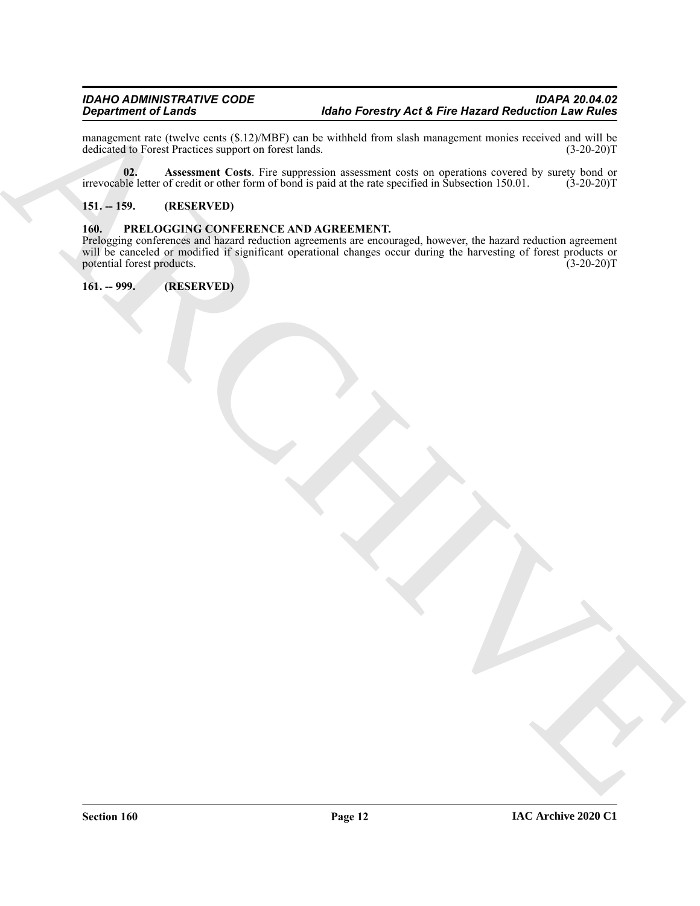management rate (twelve cents (\$.12)/MBF) can be withheld from slash management monies received and will be dedicated to Forest Practices support on forest lands. (3-20-20)T dedicated to Forest Practices support on forest lands.

<span id="page-11-3"></span>**02. Assessment Costs**. Fire suppression assessment costs on operations covered by surety bond or ble letter of credit or other form of bond is paid at the rate specified in Subsection 150.01. (3-20-20)T irrevocable letter of credit or other form of bond is paid at the rate specified in Subsection 150.01.

### <span id="page-11-0"></span>**151. -- 159. (RESERVED)**

### <span id="page-11-4"></span><span id="page-11-1"></span>**160. PRELOGGING CONFERENCE AND AGREEMENT.**

 $\frac{R}{2}$  (a)  $\frac{R}{2}$  (a)  $\frac{R}{2}$  (a)  $\frac{R}{2}$  (b)  $\frac{R}{2}$  (b)  $\frac{R}{2}$  (b)  $\frac{R}{2}$  (c)  $\frac{R}{2}$  (c)  $\frac{R}{2}$  (c)  $\frac{R}{2}$  (c)  $\frac{R}{2}$  (c)  $\frac{R}{2}$  (c)  $\frac{R}{2}$  (c)  $\frac{R}{2}$  (c)  $\frac{R}{2}$  (c)  $\frac{R}{2}$  ( Prelogging conferences and hazard reduction agreements are encouraged, however, the hazard reduction agreement will be canceled or modified if significant operational changes occur during the harvesting of forest products or potential forest products.  $(3-20-20)$ potential forest products.

<span id="page-11-2"></span>**161. -- 999. (RESERVED)**